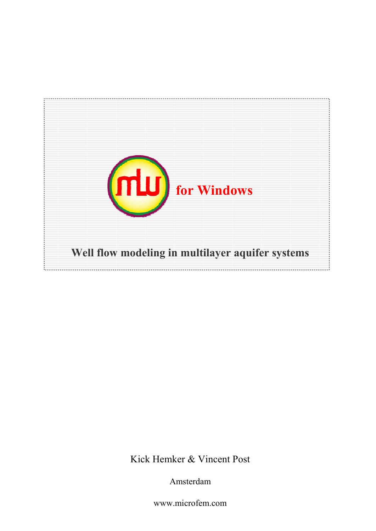

Kick Hemker & Vincent Post

Amsterdam

www.microfem.com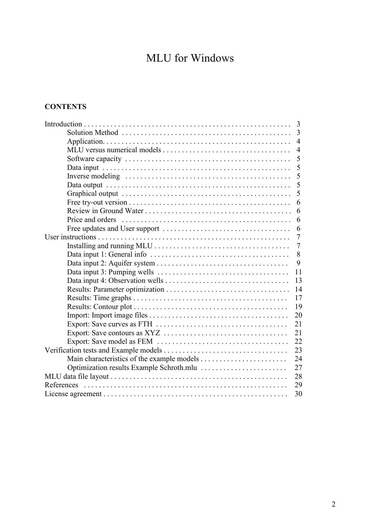# MLU for Windows

## **CONTENTS**

| 3                |  |
|------------------|--|
| $\overline{3}$   |  |
| $\overline{4}$   |  |
| $\overline{4}$   |  |
| 5                |  |
| 5                |  |
| 5                |  |
| 5                |  |
| 5                |  |
| 6                |  |
| 6                |  |
| 6                |  |
| 6                |  |
| 7                |  |
| $\tau$           |  |
| 8                |  |
| 9                |  |
| 11               |  |
| 13               |  |
| 14               |  |
| 17               |  |
| 19               |  |
| 20               |  |
| 21               |  |
| 21               |  |
| 22               |  |
| 23               |  |
| 24               |  |
| 27               |  |
| 28               |  |
| 29<br>References |  |
| 30               |  |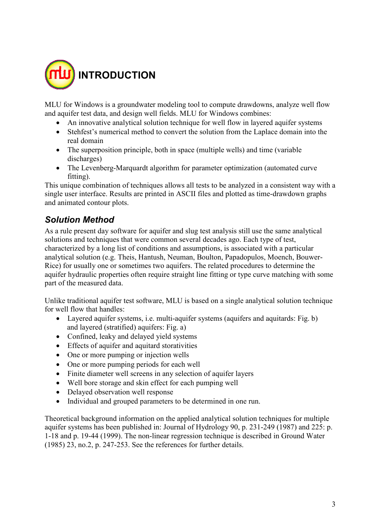

MLU for Windows is a groundwater modeling tool to compute drawdowns, analyze well flow and aquifer test data, and design well fields. MLU for Windows combines:

- An innovative analytical solution technique for well flow in layered aquifer systems
- Stehfest's numerical method to convert the solution from the Laplace domain into the real domain
- The superposition principle, both in space (multiple wells) and time (variable discharges)
- The Levenberg-Marquardt algorithm for parameter optimization (automated curve fitting).

This unique combination of techniques allows all tests to be analyzed in a consistent way with a single user interface. Results are printed in ASCII files and plotted as time-drawdown graphs and animated contour plots.

## *Solution Method*

As a rule present day software for aquifer and slug test analysis still use the same analytical solutions and techniques that were common several decades ago. Each type of test, characterized by a long list of conditions and assumptions, is associated with a particular analytical solution (e.g. Theis, Hantush, Neuman, Boulton, Papadopulos, Moench, Bouwer-Rice) for usually one or sometimes two aquifers. The related procedures to determine the aquifer hydraulic properties often require straight line fitting or type curve matching with some part of the measured data.

Unlike traditional aquifer test software, MLU is based on a single analytical solution technique for well flow that handles:

- Layered aquifer systems, i.e. multi-aquifer systems (aquifers and aquitards: Fig. b) and layered (stratified) aquifers: Fig. a)
- Confined, leaky and delayed yield systems
- Effects of aquifer and aquitard storativities
- One or more pumping or injection wells
- One or more pumping periods for each well
- Finite diameter well screens in any selection of aquifer layers
- Well bore storage and skin effect for each pumping well
- Delayed observation well response
- Individual and grouped parameters to be determined in one run.

Theoretical background information on the applied analytical solution techniques for multiple aquifer systems has been published in: Journal of Hydrology 90, p. 231-249 (1987) and 225: p. 1-18 and p. 19-44 (1999). The non-linear regression technique is described in Ground Water (1985) 23, no.2, p. 247-253. See the references for further details.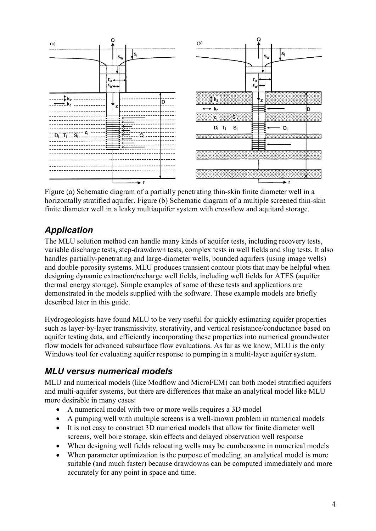

Figure (a) Schematic diagram of a partially penetrating thin-skin finite diameter well in a horizontally stratified aquifer. Figure (b) Schematic diagram of a multiple screened thin-skin finite diameter well in a leaky multiaquifer system with crossflow and aquitard storage.

## *Application*

The MLU solution method can handle many kinds of aquifer tests, including recovery tests, variable discharge tests, step-drawdown tests, complex tests in well fields and slug tests. It also handles partially-penetrating and large-diameter wells, bounded aquifers (using image wells) and double-porosity systems. MLU produces transient contour plots that may be helpful when designing dynamic extraction/recharge well fields, including well fields for ATES (aquifer thermal energy storage). Simple examples of some of these tests and applications are demonstrated in the models supplied with the software. These example models are briefly described later in this guide.

Hydrogeologists have found MLU to be very useful for quickly estimating aquifer properties such as layer-by-layer transmissivity, storativity, and vertical resistance/conductance based on aquifer testing data, and efficiently incorporating these properties into numerical groundwater flow models for advanced subsurface flow evaluations. As far as we know, MLU is the only Windows tool for evaluating aquifer response to pumping in a multi-layer aquifer system.

# *MLU versus numerical models*

MLU and numerical models (like Modflow and MicroFEM) can both model stratified aquifers and multi-aquifer systems, but there are differences that make an analytical model like MLU more desirable in many cases:

- A numerical model with two or more wells requires a 3D model
- A pumping well with multiple screens is a well-known problem in numerical models
- It is not easy to construct 3D numerical models that allow for finite diameter well screens, well bore storage, skin effects and delayed observation well response
- When designing well fields relocating wells may be cumbersome in numerical models
- When parameter optimization is the purpose of modeling, an analytical model is more suitable (and much faster) because drawdowns can be computed immediately and more accurately for any point in space and time.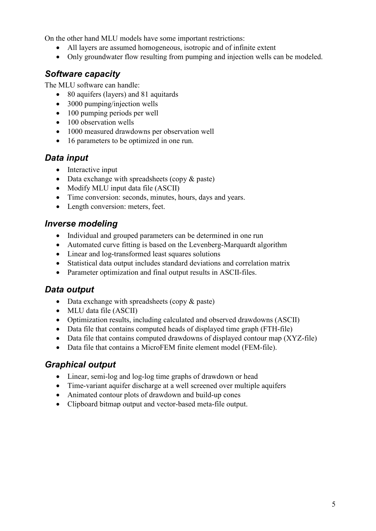On the other hand MLU models have some important restrictions:

- All layers are assumed homogeneous, isotropic and of infinite extent
- Only groundwater flow resulting from pumping and injection wells can be modeled.

## *Software capacity*

The MLU software can handle:

- 80 aquifers (layers) and 81 aquitards
- 3000 pumping/injection wells
- 100 pumping periods per well
- 100 observation wells
- 1000 measured drawdowns per observation well
- 16 parameters to be optimized in one run.

## *Data input*

- Interactive input
- Data exchange with spreadsheets (copy & paste)
- Modify MLU input data file (ASCII)
- Time conversion: seconds, minutes, hours, days and years.
- Length conversion: meters, feet.

## *Inverse modeling*

- Individual and grouped parameters can be determined in one run
- Automated curve fitting is based on the Levenberg-Marquardt algorithm
- Linear and log-transformed least squares solutions
- Statistical data output includes standard deviations and correlation matrix
- Parameter optimization and final output results in ASCII-files.

## *Data output*

- Data exchange with spreadsheets (copy & paste)
- MLU data file (ASCII)
- Optimization results, including calculated and observed drawdowns (ASCII)
- Data file that contains computed heads of displayed time graph (FTH-file)
- Data file that contains computed drawdowns of displayed contour map (XYZ-file)
- Data file that contains a MicroFEM finite element model (FEM-file).

## *Graphical output*

- Linear, semi-log and log-log time graphs of drawdown or head
- Time-variant aquifer discharge at a well screened over multiple aquifers
- Animated contour plots of drawdown and build-up cones
- Clipboard bitmap output and vector-based meta-file output.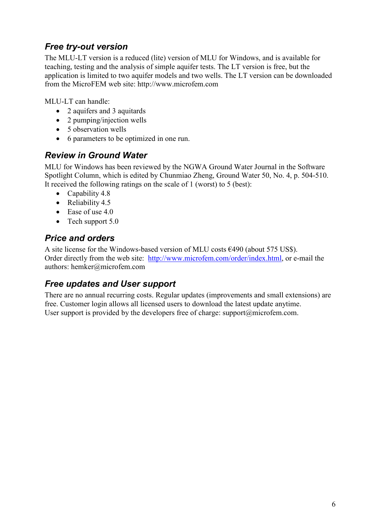# *Free try-out version*

The MLU-LT version is a reduced (lite) version of MLU for Windows, and is available for teaching, testing and the analysis of simple aquifer tests. The LT version is free, but the application is limited to two aquifer models and two wells. The LT version can be downloaded from the MicroFEM web site: http://www.microfem.com

MLU-LT can handle:

- 2 aquifers and 3 aquitards
- 2 pumping/injection wells
- 5 observation wells
- 6 parameters to be optimized in one run.

## *Review in Ground Water*

MLU for Windows has been reviewed by the NGWA Ground Water Journal in the Software Spotlight Column, which is edited by Chunmiao Zheng, Ground Water 50, No. 4, p. 504-510. It received the following ratings on the scale of 1 (worst) to 5 (best):

- Capability 4.8
- Reliability 4.5
- Ease of use 4.0
- Tech support 5.0

## *Price and orders*

A site license for the Windows-based version of MLU costs  $\epsilon$ 490 (about 575 US\$). Order directly from the web site: http://www.microfem.com/order/index.html, or e-mail the authors: hemker@microfem.com

## *Free updates and User support*

There are no annual recurring costs. Regular updates (improvements and small extensions) are free. Customer login allows all licensed users to download the latest update anytime. User support is provided by the developers free of charge: support $(\partial \text{microfem.com})$ .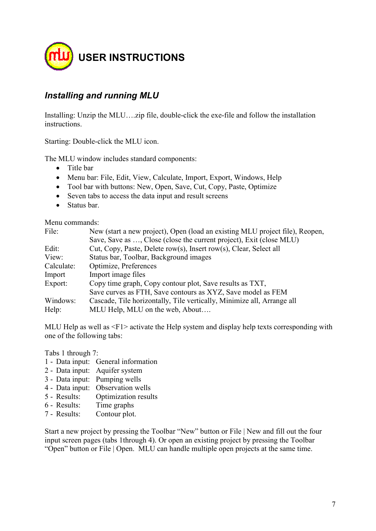

## *Installing and running MLU*

Installing: Unzip the MLU….zip file, double-click the exe-file and follow the installation instructions.

Starting: Double-click the MLU icon.

The MLU window includes standard components:

- Title bar
- Menu bar: File, Edit, View, Calculate, Import, Export, Windows, Help
- Tool bar with buttons: New, Open, Save, Cut, Copy, Paste, Optimize
- Seven tabs to access the data input and result screens
- Status bar.

Menu commands:

| File:      | New (start a new project), Open (load an existing MLU project file), Reopen, |
|------------|------------------------------------------------------------------------------|
|            | Save, Save as , Close (close the current project), Exit (close MLU)          |
| Edit:      | Cut, Copy, Paste, Delete row(s), Insert row(s), Clear, Select all            |
| View:      | Status bar, Toolbar, Background images                                       |
| Calculate: | Optimize, Preferences                                                        |
| Import     | Import image files                                                           |
| Export:    | Copy time graph, Copy contour plot, Save results as TXT,                     |
|            | Save curves as FTH, Save contours as XYZ, Save model as FEM                  |
| Windows:   | Cascade, Tile horizontally, Tile vertically, Minimize all, Arrange all       |
| Help:      | MLU Help, MLU on the web, About                                              |

MLU Help as well as <F1> activate the Help system and display help texts corresponding with one of the following tabs:

Tabs 1 through 7:

- 1 Data input: General information
- 2 Data input: Aquifer system
- 3 Data input: Pumping wells
- 4 Data input: Observation wells
- 5 Results: Optimization results
- 6 Results: Time graphs
- 7 Results: Contour plot.

Start a new project by pressing the Toolbar "New" button or File | New and fill out the four input screen pages (tabs 1through 4). Or open an existing project by pressing the Toolbar "Open" button or File | Open. MLU can handle multiple open projects at the same time.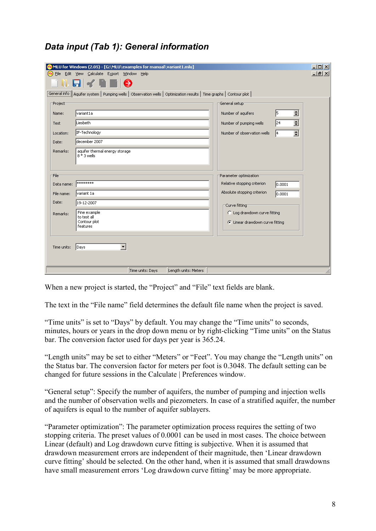|  |  | Data input (Tab 1): General information |
|--|--|-----------------------------------------|
|  |  |                                         |

| mlu)                                                                           | <b>MLU for Windows (2.05) - [G:\MLU\examples for manual\variant1.mlu]</b><br>File Edit View Calculate Export Window Help<br>N EI-7 EII O                                                                             |                                                                                                                                                                                                | $  $ $  $ $\times$ $ $<br>그리지 |
|--------------------------------------------------------------------------------|----------------------------------------------------------------------------------------------------------------------------------------------------------------------------------------------------------------------|------------------------------------------------------------------------------------------------------------------------------------------------------------------------------------------------|-------------------------------|
| Project <sup>-</sup><br>Name:<br><b>Test</b><br>Location:<br>Date:<br>Remarks: | General info   Aquifer system   Pumping wells   Observation wells   Optimization results   Time graphs   Contour plot  <br>variant1a<br>Liesbeth<br>IF-Technology<br>december 2007<br>aquifer thermal energy storage | General setup <sup>-</sup><br>$\overline{\phantom{a}}$<br>l5<br>Number of aquifers<br>$\div$<br>24<br>Number of pumping wells<br>$\overline{\phantom{a}}$<br>Number of observation wells<br>14 |                               |
| File <sup>-</sup><br>Data name:<br>File name:<br>Date:                         | 8 * 3 wells<br>********<br>variant 1a<br>19-12-2007                                                                                                                                                                  | Parameter optimization:<br>Relative stopping criterion<br>0.0001<br>Absolute stopping criterion<br>0.0001                                                                                      |                               |
| Remarks:<br>Time units:                                                        | Fine example<br>to test all<br>Contour plot<br>features<br>▼<br>Days                                                                                                                                                 | <b>FCurve fitting</b><br>C Log drawdown curve fitting<br>C Linear drawdown curve fitting                                                                                                       |                               |
|                                                                                | Time units: Days                                                                                                                                                                                                     | Length units: Meters                                                                                                                                                                           |                               |

When a new project is started, the "Project" and "File" text fields are blank.

The text in the "File name" field determines the default file name when the project is saved.

"Time units" is set to "Days" by default. You may change the "Time units" to seconds, minutes, hours or years in the drop down menu or by right-clicking "Time units" on the Status bar. The conversion factor used for days per year is 365.24.

"Length units" may be set to either "Meters" or "Feet". You may change the "Length units" on the Status bar. The conversion factor for meters per foot is 0.3048. The default setting can be changed for future sessions in the Calculate | Preferences window.

"General setup": Specify the number of aquifers, the number of pumping and injection wells and the number of observation wells and piezometers. In case of a stratified aquifer, the number of aquifers is equal to the number of aquifer sublayers.

"Parameter optimization": The parameter optimization process requires the setting of two stopping criteria. The preset values of 0.0001 can be used in most cases. The choice between Linear (default) and Log drawdown curve fitting is subjective. When it is assumed that drawdown measurement errors are independent of their magnitude, then 'Linear drawdown curve fitting' should be selected. On the other hand, when it is assumed that small drawdowns have small measurement errors 'Log drawdown curve fitting' may be more appropriate.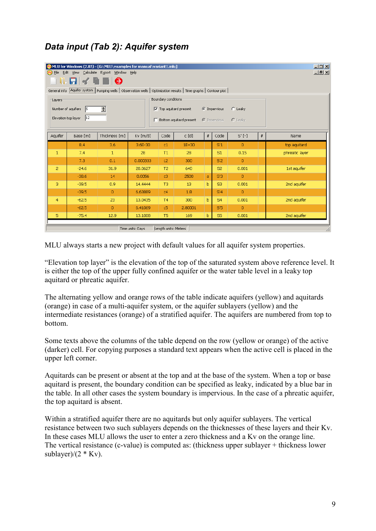# *Data input (Tab 2): Aquifer system*

|                                                                                                                                                                                                         | $-12X$<br>MLU for Windows (2.05) - [G:\MLU\examples for manual\variant1.mlu]<br>그리지<br>(mu) File Edit View Calculate Export Window Help |                |                  |                      |           |                |                |                |      |                |  |  |
|---------------------------------------------------------------------------------------------------------------------------------------------------------------------------------------------------------|-----------------------------------------------------------------------------------------------------------------------------------------|----------------|------------------|----------------------|-----------|----------------|----------------|----------------|------|----------------|--|--|
| $\blacksquare$ $\blacktriangleleft \blacksquare$ $\blacksquare$ $\blacksquare$<br>General info   Aquifer system   Pumping wells   Observation wells   Optimization results   Time graphs   Contour plot |                                                                                                                                         |                |                  |                      |           |                |                |                |      |                |  |  |
| Boundary conditions:<br>⊤Layers <sup>-</sup><br>쉬<br>Number of aquifers<br>$\vert$ <sub>5</sub><br>$\overline{\mathsf{v}}$ Top aquitard present<br>$\binom{2}{3}$ Impervious<br>C Leaky                 |                                                                                                                                         |                |                  |                      |           |                |                |                |      |                |  |  |
| $ 12\rangle$<br>Elevation top layer<br>$\Box$ Bottom aquitard present<br>$\bullet$ Impervious<br>$\cap$ Leaky                                                                                           |                                                                                                                                         |                |                  |                      |           |                |                |                |      |                |  |  |
| Aquifer                                                                                                                                                                                                 | Base [m]                                                                                                                                | Thickness [m]  | $Kv$ [m/d]       | Code                 | c[d]      | $\#$           | Code           | $S'$ [-]       | $\#$ | Name           |  |  |
|                                                                                                                                                                                                         | 8.4                                                                                                                                     | 3.6            | $3.6E - 30$      | C1                   | $1E + 30$ |                | S'1            | 0              |      | top aquitard   |  |  |
| $\mathbf{1}$                                                                                                                                                                                            | 7.4                                                                                                                                     | $\mathbf{1}$   | 28               | T1                   | 28        |                | S1             | 0.15           |      | phreatic layer |  |  |
|                                                                                                                                                                                                         | 7.3                                                                                                                                     | 0.1            | 0.000333         | c2                   | 300       |                | S <sub>2</sub> | $\overline{0}$ |      |                |  |  |
| $\overline{2}$                                                                                                                                                                                          | $-24.6$                                                                                                                                 | 31.9           | 20.0627          | T <sub>2</sub>       | 640       |                | S <sub>2</sub> | 0.001          |      | 1st aquifer    |  |  |
|                                                                                                                                                                                                         | $-38.6$                                                                                                                                 | 14             | 0.0056           | c3                   | 2500      | $\overline{a}$ | S'3            | $\Omega$       |      |                |  |  |
| з                                                                                                                                                                                                       | $-39.5$                                                                                                                                 | 0.9            | 14.4444          | T <sub>3</sub>       | 13        | b              | S3             | 0.001          |      | 2nd aquifer    |  |  |
|                                                                                                                                                                                                         | $-39.5$                                                                                                                                 | $\overline{0}$ | 6,63889          | C <sub>4</sub>       | 1.8       |                | S'4            | $\circ$        |      |                |  |  |
| $\overline{4}$                                                                                                                                                                                          | $-62.5$                                                                                                                                 | 23             | 13.0435          | T <sub>4</sub>       | 300       | b              | S <sub>4</sub> | 0.001          |      | 2nd aquifer    |  |  |
|                                                                                                                                                                                                         | $-62.5$                                                                                                                                 | $\overline{0}$ | 6.41069          | c5                   | 2,80001   |                | S'5            | $\overline{0}$ |      |                |  |  |
| 5                                                                                                                                                                                                       | $-75.4$                                                                                                                                 | 12.9           | 13,1008          | T <sub>5</sub>       | 169       | b              | S5             | 0.001          |      | 2nd aquifer    |  |  |
|                                                                                                                                                                                                         |                                                                                                                                         |                | Time units: Days | Length units: Meters |           |                |                |                |      |                |  |  |

MLU always starts a new project with default values for all aquifer system properties.

"Elevation top layer" is the elevation of the top of the saturated system above reference level. It is either the top of the upper fully confined aquifer or the water table level in a leaky top aquitard or phreatic aquifer.

The alternating yellow and orange rows of the table indicate aquifers (yellow) and aquitards (orange) in case of a multi-aquifer system, or the aquifer sublayers (yellow) and the intermediate resistances (orange) of a stratified aquifer. The aquifers are numbered from top to bottom.

Some texts above the columns of the table depend on the row (yellow or orange) of the active (darker) cell. For copying purposes a standard text appears when the active cell is placed in the upper left corner.

Aquitards can be present or absent at the top and at the base of the system. When a top or base aquitard is present, the boundary condition can be specified as leaky, indicated by a blue bar in the table. In all other cases the system boundary is impervious. In the case of a phreatic aquifer, the top aquitard is absent.

Within a stratified aquifer there are no aquitards but only aquifer sublayers. The vertical resistance between two such sublayers depends on the thicknesses of these layers and their Kv. In these cases MLU allows the user to enter a zero thickness and a Kv on the orange line. The vertical resistance (c-value) is computed as: (thickness upper sublayer + thickness lower sublayer)/ $(2 * Kv)$ .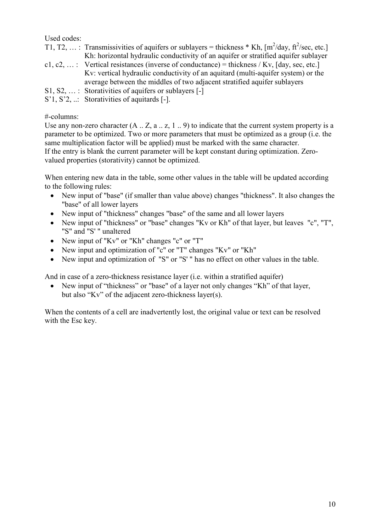Used codes:

| T1, T2, : Transmissivities of aquifers or sublayers = thickness * Kh, $\lceil m^2/day, \frac{\hat{\pi}^2}{\text{sec}}\rceil$ |
|------------------------------------------------------------------------------------------------------------------------------|
| Kh: horizontal hydraulic conductivity of an aquifer or stratified aquifer sublayer                                           |
| c1, c2, : Vertical resistances (inverse of conductance) = thickness / Kv, [day, sec, etc.]                                   |
| Ky: vertical hydraulic conductivity of an aquitard (multi-aquifer system) or the                                             |
| average between the middles of two adjacent stratified aquifer sublayers                                                     |
| $S1, S2, \ldots$ : Storativities of aquifiers or sublayers [-]                                                               |
| $S'1, S'2, \ldots$ Storativities of aquitards [-].                                                                           |

#-columns:

Use any non-zero character  $(A_1, Z_1, a_2, z_1, z_2)$  to indicate that the current system property is a parameter to be optimized. Two or more parameters that must be optimized as a group (i.e. the same multiplication factor will be applied) must be marked with the same character. If the entry is blank the current parameter will be kept constant during optimization. Zerovalued properties (storativity) cannot be optimized.

When entering new data in the table, some other values in the table will be updated according to the following rules:

- New input of "base" (if smaller than value above) changes "thickness". It also changes the "base" of all lower layers
- New input of "thickness" changes "base" of the same and all lower layers
- New input of "thickness" or "base" changes "Kv or Kh" of that layer, but leaves "c", "T", "S" and "S' " unaltered
- New input of "Kv" or "Kh" changes "c" or "T"
- New input and optimization of "c" or "T" changes "Kv" or "Kh"
- New input and optimization of "S" or "S'" has no effect on other values in the table.

And in case of a zero-thickness resistance layer (i.e. within a stratified aquifer)

• New input of "thickness" or "base" of a layer not only changes "Kh" of that layer, but also "Kv" of the adjacent zero-thickness layer(s).

When the contents of a cell are inadvertently lost, the original value or text can be resolved with the Esc key.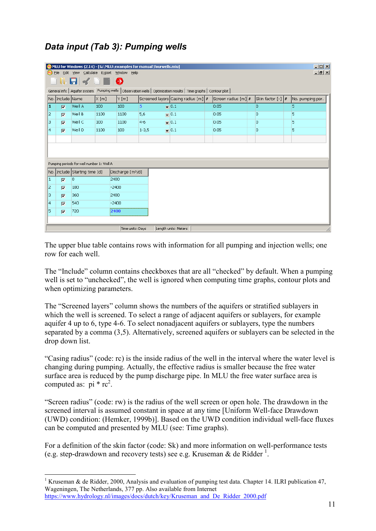# *Data input (Tab 3): Pumping wells*

|    | Z <br>MLU for Windows (2.14) - [G:\MLU\examples for manual\fourwells.mlu]<br>(nu) File Edit View Calculate Export Window Help                             |                                           |      |                  |           |                      |  |      |     |  |   |  |
|----|-----------------------------------------------------------------------------------------------------------------------------------------------------------|-------------------------------------------|------|------------------|-----------|----------------------|--|------|-----|--|---|--|
|    | 그리지<br>$\blacksquare$ $\blacksquare$ $\blacksquare$ $\blacksquare$ $\blacksquare$ $\blacksquare$                                                          |                                           |      |                  |           |                      |  |      |     |  |   |  |
|    | General info   Aquifer system Pumping wells   Observation wells   Optimization results   Time graphs   Contour plot                                       |                                           |      |                  |           |                      |  |      |     |  |   |  |
|    | Screen radius [m] #<br>No. Include Name<br>$\times$ [m]<br>Screened layers Casing radius [m] #<br>Y[m]<br>$ $ Skin factor $[-]$ $ \#$<br>No. pumping per. |                                           |      |                  |           |                      |  |      |     |  |   |  |
| 1  | $\overline{V}$                                                                                                                                            | Well A                                    | 100  | 100              | 5.        | $\sqrt{0.1}$         |  | 0.05 | O.  |  | 5 |  |
| 12 | $\overline{\mathbf{v}}$                                                                                                                                   | Well B                                    | 1100 | 1100             | 5,6       | $\sqrt{0.1}$         |  | 0.05 | O.  |  | 5 |  |
| 3  | $\overline{V}$                                                                                                                                            | Well C                                    | 100  | 1100             | $4 - 6$   | $\sqrt{0.1}$         |  | 0.05 | lo. |  | 5 |  |
| 4  | $\overline{v}$                                                                                                                                            | Well D                                    | 1100 | 100              | $1 - 3,5$ | $\sqrt{0.1}$         |  | 0.05 | o   |  | 5 |  |
|    |                                                                                                                                                           |                                           |      |                  |           |                      |  |      |     |  |   |  |
|    |                                                                                                                                                           |                                           |      |                  |           |                      |  |      |     |  |   |  |
|    |                                                                                                                                                           |                                           |      |                  |           |                      |  |      |     |  |   |  |
|    |                                                                                                                                                           | Pumping periods for well number 1: Well A |      |                  |           |                      |  |      |     |  |   |  |
|    |                                                                                                                                                           | No. Include Starting time [d]             |      | Discharge [m3/d] |           |                      |  |      |     |  |   |  |
| 1  | $\overline{\mathbf{v}}$                                                                                                                                   | O.                                        |      | 2400             |           |                      |  |      |     |  |   |  |
| 12 | $\overline{\mathbf{v}}$                                                                                                                                   | 180                                       |      | $-2400$          |           |                      |  |      |     |  |   |  |
| 3  | $\overline{v}$                                                                                                                                            | 360                                       |      | 2400             |           |                      |  |      |     |  |   |  |
| 4  | $\overline{\mathbf{v}}$                                                                                                                                   | 540                                       |      | $-2400$          |           |                      |  |      |     |  |   |  |
| 15 | $\overline{v}$                                                                                                                                            | 720                                       |      | 2400             |           |                      |  |      |     |  |   |  |
|    |                                                                                                                                                           |                                           |      |                  |           |                      |  |      |     |  |   |  |
|    |                                                                                                                                                           |                                           |      | Time units: Days |           | Length units: Meters |  |      |     |  |   |  |

The upper blue table contains rows with information for all pumping and injection wells; one row for each well.

The "Include" column contains checkboxes that are all "checked" by default. When a pumping well is set to "unchecked", the well is ignored when computing time graphs, contour plots and when optimizing parameters.

The "Screened layers" column shows the numbers of the aquifers or stratified sublayers in which the well is screened. To select a range of adjacent aquifers or sublayers, for example aquifer 4 up to 6, type 4-6. To select nonadjacent aquifers or sublayers, type the numbers separated by a comma (3,5). Alternatively, screened aquifers or sublayers can be selected in the drop down list.

"Casing radius" (code: rc) is the inside radius of the well in the interval where the water level is changing during pumping. Actually, the effective radius is smaller because the free water surface area is reduced by the pump discharge pipe. In MLU the free water surface area is computed as:  $pi * rc<sup>2</sup>$ .

"Screen radius" (code: rw) is the radius of the well screen or open hole. The drawdown in the screened interval is assumed constant in space at any time [Uniform Well-face Drawdown (UWD) condition: (Hemker, 1999b)]. Based on the UWD condition individual well-face fluxes can be computed and presented by MLU (see: Time graphs).

For a definition of the skin factor (code: Sk) and more information on well-performance tests (e.g. step-drawdown and recovery tests) see e.g. Kruseman & de Ridder<sup>1</sup>.

<sup>-</sup><sup>1</sup> Kruseman & de Ridder, 2000, Analysis and evaluation of pumping test data. Chapter 14. ILRI publication 47, Wageningen, The Netherlands, 377 pp. Also available from Internet https://www.hydrology.nl/images/docs/dutch/key/Kruseman\_and\_De\_Ridder\_2000.pdf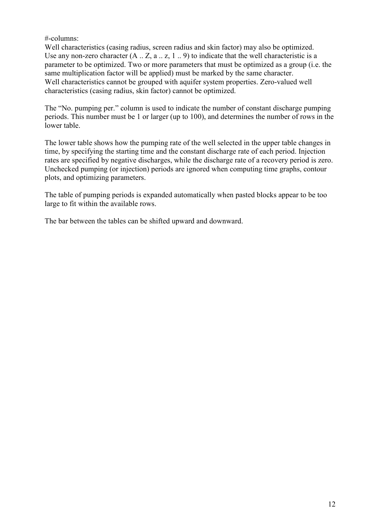#-columns:

Well characteristics (casing radius, screen radius and skin factor) may also be optimized. Use any non-zero character  $(A \nvert Z, a \nvert Z, 1 \nvert Z)$  to indicate that the well characteristic is a parameter to be optimized. Two or more parameters that must be optimized as a group (i.e. the same multiplication factor will be applied) must be marked by the same character. Well characteristics cannot be grouped with aquifer system properties. Zero-valued well characteristics (casing radius, skin factor) cannot be optimized.

The "No. pumping per." column is used to indicate the number of constant discharge pumping periods. This number must be 1 or larger (up to 100), and determines the number of rows in the lower table.

The lower table shows how the pumping rate of the well selected in the upper table changes in time, by specifying the starting time and the constant discharge rate of each period. Injection rates are specified by negative discharges, while the discharge rate of a recovery period is zero. Unchecked pumping (or injection) periods are ignored when computing time graphs, contour plots, and optimizing parameters.

The table of pumping periods is expanded automatically when pasted blocks appear to be too large to fit within the available rows.

The bar between the tables can be shifted upward and downward.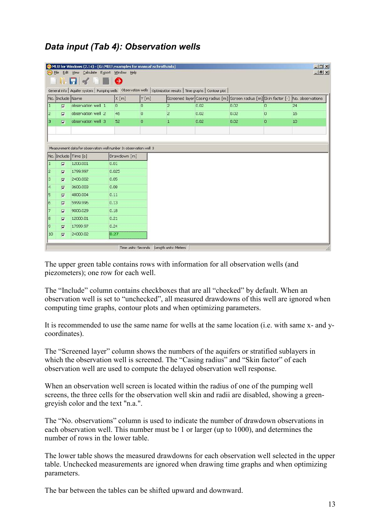# *Data input (Tab 4): Observation wells*

|                         | $  D $ $\times$<br>MLU for Windows (2.14) - [G:\MLU\examples for manual\schroth.mlu]                                  |                                                                    |                     |         |                      |      |                                                                                     |          |    |  |  |  |
|-------------------------|-----------------------------------------------------------------------------------------------------------------------|--------------------------------------------------------------------|---------------------|---------|----------------------|------|-------------------------------------------------------------------------------------|----------|----|--|--|--|
|                         | (nu) File Edit View Calculate Export Window Help<br>$ B$ $\times$                                                     |                                                                    |                     |         |                      |      |                                                                                     |          |    |  |  |  |
|                         | $\blacksquare$ . $\blacksquare$ . $\blacksquare$                                                                      |                                                                    |                     |         |                      |      |                                                                                     |          |    |  |  |  |
|                         | General info   Aquifer system   Pumping wells   Observation wells   Optimization results   Time graphs   Contour plot |                                                                    |                     |         |                      |      |                                                                                     |          |    |  |  |  |
|                         | No. Include Name                                                                                                      |                                                                    | X[m]                | Y[m]    |                      |      | Screened layer Casing radius [m] Screen radius [m] Skin factor [-] No. observations |          |    |  |  |  |
| 1                       | $\overline{\mathbf{v}}$                                                                                               | observation well 1                                                 | $\overline{0}$      | O.      | $\overline{2}$       | 0.02 | 0.02                                                                                | $\cup$   | 24 |  |  |  |
| 2                       | $\overline{M}$                                                                                                        | observation well 2                                                 | 46                  | $\circ$ | $\overline{c}$       | 0.02 | 0.02                                                                                | $\circ$  | 16 |  |  |  |
| з                       | $\overline{v}$                                                                                                        | observation well 3                                                 | 52                  | $\circ$ | $\mathbf{1}$         | 0.02 | 0.02                                                                                | $\Omega$ | 10 |  |  |  |
|                         |                                                                                                                       |                                                                    |                     |         |                      |      |                                                                                     |          |    |  |  |  |
|                         |                                                                                                                       |                                                                    |                     |         |                      |      |                                                                                     |          |    |  |  |  |
|                         |                                                                                                                       | Measurement data for observation well number 3; observation well 3 |                     |         |                      |      |                                                                                     |          |    |  |  |  |
|                         |                                                                                                                       | No. Include Time [s]                                               | Drawdown [m]        |         |                      |      |                                                                                     |          |    |  |  |  |
| 1                       | $\overline{\mathbf{v}}$                                                                                               | 1200.001                                                           | 0.01                |         |                      |      |                                                                                     |          |    |  |  |  |
| 2                       | $\overline{M}$                                                                                                        | 1799.997                                                           | 0.025               |         |                      |      |                                                                                     |          |    |  |  |  |
| З                       | $\overline{M}$                                                                                                        | 2400.002                                                           | 0.05                |         |                      |      |                                                                                     |          |    |  |  |  |
| $\overline{\mathbf{4}}$ | $\overline{\mathbf{v}}$                                                                                               | 3600.003                                                           | 0.08                |         |                      |      |                                                                                     |          |    |  |  |  |
| 5                       | $\overline{\mathbf{v}}$                                                                                               | 4800.004                                                           | 0.11                |         |                      |      |                                                                                     |          |    |  |  |  |
| Įб                      | $\overline{\mathbf{v}}$                                                                                               | 5999.996                                                           | 0.13                |         |                      |      |                                                                                     |          |    |  |  |  |
| 17                      | $\overline{M}$                                                                                                        | 9000.029                                                           | 0.18                |         |                      |      |                                                                                     |          |    |  |  |  |
| 18                      | $\overline{\mathbf{v}}$                                                                                               | 12000.01                                                           | 0.21                |         |                      |      |                                                                                     |          |    |  |  |  |
| 9                       | $\overline{\mathbf{v}}$                                                                                               | 17999.97                                                           | 0.24                |         |                      |      |                                                                                     |          |    |  |  |  |
| 10                      | $\overline{M}$                                                                                                        | 24000.02                                                           | 0.27                |         |                      |      |                                                                                     |          |    |  |  |  |
|                         |                                                                                                                       |                                                                    | Time units: Seconds |         | Length units: Meters |      |                                                                                     |          |    |  |  |  |

The upper green table contains rows with information for all observation wells (and piezometers); one row for each well.

The "Include" column contains checkboxes that are all "checked" by default. When an observation well is set to "unchecked", all measured drawdowns of this well are ignored when computing time graphs, contour plots and when optimizing parameters.

It is recommended to use the same name for wells at the same location (i.e. with same x- and ycoordinates).

The "Screened layer" column shows the numbers of the aquifers or stratified sublayers in which the observation well is screened. The "Casing radius" and "Skin factor" of each observation well are used to compute the delayed observation well response.

When an observation well screen is located within the radius of one of the pumping well screens, the three cells for the observation well skin and radii are disabled, showing a greengreyish color and the text "n.a.".

The "No. observations" column is used to indicate the number of drawdown observations in each observation well. This number must be 1 or larger (up to 1000), and determines the number of rows in the lower table.

The lower table shows the measured drawdowns for each observation well selected in the upper table. Unchecked measurements are ignored when drawing time graphs and when optimizing parameters.

The bar between the tables can be shifted upward and downward.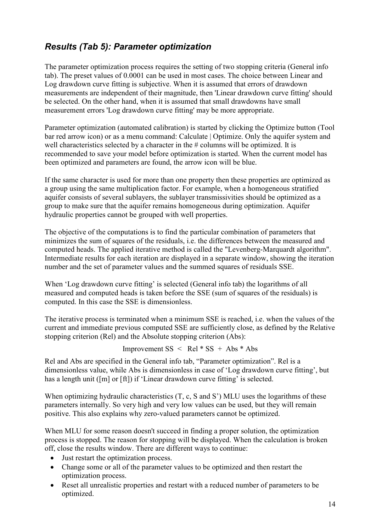# *Results (Tab 5): Parameter optimization*

The parameter optimization process requires the setting of two stopping criteria (General info tab). The preset values of 0.0001 can be used in most cases. The choice between Linear and Log drawdown curve fitting is subjective. When it is assumed that errors of drawdown measurements are independent of their magnitude, then 'Linear drawdown curve fitting' should be selected. On the other hand, when it is assumed that small drawdowns have small measurement errors 'Log drawdown curve fitting' may be more appropriate.

Parameter optimization (automated calibration) is started by clicking the Optimize button (Tool bar red arrow icon) or as a menu command: Calculate | Optimize. Only the aquifer system and well characteristics selected by a character in the # columns will be optimized. It is recommended to save your model before optimization is started. When the current model has been optimized and parameters are found, the arrow icon will be blue.

If the same character is used for more than one property then these properties are optimized as a group using the same multiplication factor. For example, when a homogeneous stratified aquifer consists of several sublayers, the sublayer transmissivities should be optimized as a group to make sure that the aquifer remains homogeneous during optimization. Aquifer hydraulic properties cannot be grouped with well properties.

The objective of the computations is to find the particular combination of parameters that minimizes the sum of squares of the residuals, i.e. the differences between the measured and computed heads. The applied iterative method is called the "Levenberg-Marquardt algorithm". Intermediate results for each iteration are displayed in a separate window, showing the iteration number and the set of parameter values and the summed squares of residuals SSE.

When 'Log drawdown curve fitting' is selected (General info tab) the logarithms of all measured and computed heads is taken before the SSE (sum of squares of the residuals) is computed. In this case the SSE is dimensionless.

The iterative process is terminated when a minimum SSE is reached, i.e. when the values of the current and immediate previous computed SSE are sufficiently close, as defined by the Relative stopping criterion (Rel) and the Absolute stopping criterion (Abs):

Improvement  $SS < Rel * SS + Abs * Abs$ 

Rel and Abs are specified in the General info tab, "Parameter optimization". Rel is a dimensionless value, while Abs is dimensionless in case of 'Log drawdown curve fitting', but has a length unit ([m] or [ft]) if 'Linear drawdown curve fitting' is selected.

When optimizing hydraulic characteristics  $(T, c, S \text{ and } S')$  MLU uses the logarithms of these parameters internally. So very high and very low values can be used, but they will remain positive. This also explains why zero-valued parameters cannot be optimized.

When MLU for some reason doesn't succeed in finding a proper solution, the optimization process is stopped. The reason for stopping will be displayed. When the calculation is broken off, close the results window. There are different ways to continue:

- Just restart the optimization process.
- Change some or all of the parameter values to be optimized and then restart the optimization process.
- Reset all unrealistic properties and restart with a reduced number of parameters to be optimized.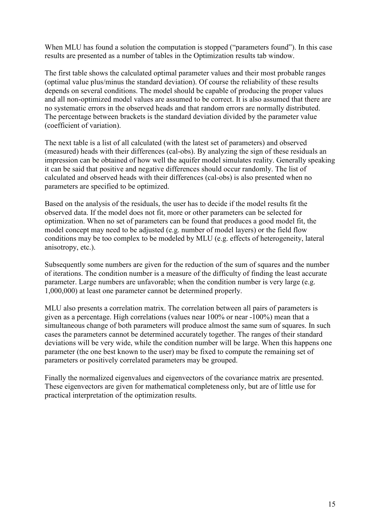When MLU has found a solution the computation is stopped ("parameters found"). In this case results are presented as a number of tables in the Optimization results tab window.

The first table shows the calculated optimal parameter values and their most probable ranges (optimal value plus/minus the standard deviation). Of course the reliability of these results depends on several conditions. The model should be capable of producing the proper values and all non-optimized model values are assumed to be correct. It is also assumed that there are no systematic errors in the observed heads and that random errors are normally distributed. The percentage between brackets is the standard deviation divided by the parameter value (coefficient of variation).

The next table is a list of all calculated (with the latest set of parameters) and observed (measured) heads with their differences (cal-obs). By analyzing the sign of these residuals an impression can be obtained of how well the aquifer model simulates reality. Generally speaking it can be said that positive and negative differences should occur randomly. The list of calculated and observed heads with their differences (cal-obs) is also presented when no parameters are specified to be optimized.

Based on the analysis of the residuals, the user has to decide if the model results fit the observed data. If the model does not fit, more or other parameters can be selected for optimization. When no set of parameters can be found that produces a good model fit, the model concept may need to be adjusted (e.g. number of model layers) or the field flow conditions may be too complex to be modeled by MLU (e.g. effects of heterogeneity, lateral anisotropy, etc.).

Subsequently some numbers are given for the reduction of the sum of squares and the number of iterations. The condition number is a measure of the difficulty of finding the least accurate parameter. Large numbers are unfavorable; when the condition number is very large (e.g. 1,000,000) at least one parameter cannot be determined properly.

MLU also presents a correlation matrix. The correlation between all pairs of parameters is given as a percentage. High correlations (values near 100% or near -100%) mean that a simultaneous change of both parameters will produce almost the same sum of squares. In such cases the parameters cannot be determined accurately together. The ranges of their standard deviations will be very wide, while the condition number will be large. When this happens one parameter (the one best known to the user) may be fixed to compute the remaining set of parameters or positively correlated parameters may be grouped.

Finally the normalized eigenvalues and eigenvectors of the covariance matrix are presented. These eigenvectors are given for mathematical completeness only, but are of little use for practical interpretation of the optimization results.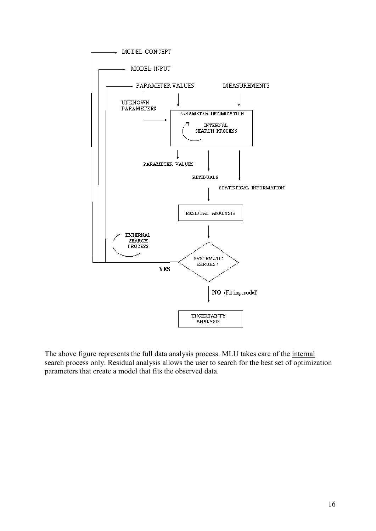

The above figure represents the full data analysis process. MLU takes care of the internal search process only. Residual analysis allows the user to search for the best set of optimization parameters that create a model that fits the observed data.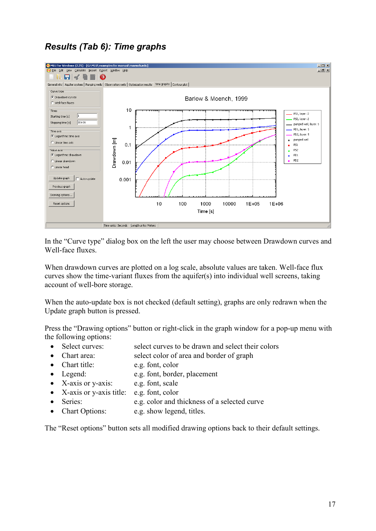# *Results (Tab 6): Time graphs*



In the "Curve type" dialog box on the left the user may choose between Drawdown curves and Well-face fluxes.

When drawdown curves are plotted on a log scale, absolute values are taken. Well-face flux curves show the time-variant fluxes from the aquifer(s) into individual well screens, taking account of well-bore storage.

When the auto-update box is not checked (default setting), graphs are only redrawn when the Update graph button is pressed.

Press the "Drawing options" button or right-click in the graph window for a pop-up menu with the following options:

- Select curves: select curves to be drawn and select their colors
- Chart area: select color of area and border of graph
- Chart title: e.g. font, color
- Legend: e.g. font, border, placement
- X-axis or y-axis: e.g. font, scale
- X-axis or y-axis title: e.g. font, color
- Series: e.g. color and thickness of a selected curve
- Chart Options: e.g. show legend, titles.

The "Reset options" button sets all modified drawing options back to their default settings.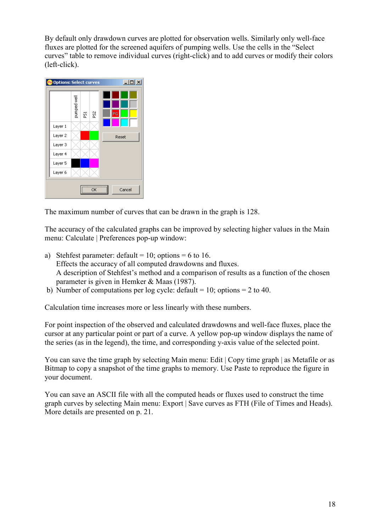By default only drawdown curves are plotted for observation wells. Similarly only well-face fluxes are plotted for the screened aquifers of pumping wells. Use the cells in the "Select curves" table to remove individual curves (right-click) and to add curves or modify their colors (left-click).



The maximum number of curves that can be drawn in the graph is 128.

The accuracy of the calculated graphs can be improved by selecting higher values in the Main menu: Calculate | Preferences pop-up window:

- a) Stehfest parameter: default = 10; options = 6 to 16. Effects the accuracy of all computed drawdowns and fluxes. A description of Stehfest's method and a comparison of results as a function of the chosen parameter is given in Hemker & Maas (1987).
- b) Number of computations per log cycle: default = 10; options = 2 to 40.

Calculation time increases more or less linearly with these numbers.

For point inspection of the observed and calculated drawdowns and well-face fluxes, place the cursor at any particular point or part of a curve. A yellow pop-up window displays the name of the series (as in the legend), the time, and corresponding y-axis value of the selected point.

You can save the time graph by selecting Main menu: Edit | Copy time graph | as Metafile or as Bitmap to copy a snapshot of the time graphs to memory. Use Paste to reproduce the figure in your document.

You can save an ASCII file with all the computed heads or fluxes used to construct the time graph curves by selecting Main menu: Export | Save curves as FTH (File of Times and Heads). More details are presented on p. 21.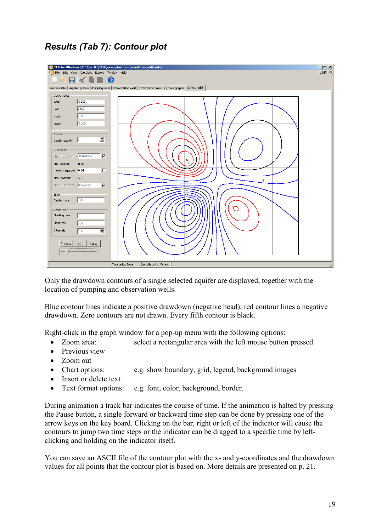# *Results (Tab 7): Contour plot*



Only the drawdown contours of a single selected aquifer are displayed, together with the location of pumping and observation wells.

Blue contour lines indicate a positive drawdown (negative head); red contour lines a negative drawdown. Zero contours are not drawn. Every fifth contour is black.

Right-click in the graph window for a pop-up menu with the following options:

- Zoom area: select a rectangular area with the left mouse button pressed
- Previous view
- Zoom out
- Chart options: e.g. show boundary, grid, legend, background images
- Insert or delete text
- Text format options: e.g. font, color, background, border.

During animation a track bar indicates the course of time. If the animation is halted by pressing the Pause button, a single forward or backward time step can be done by pressing one of the arrow keys on the key board. Clicking on the bar, right or left of the indicator will cause the contours to jump two time steps or the indicator can be dragged to a specific time by leftclicking and holding on the indicator itself.

You can save an ASCII file of the contour plot with the x- and y-coordinates and the drawdown values for all points that the contour plot is based on. More details are presented on p. 21.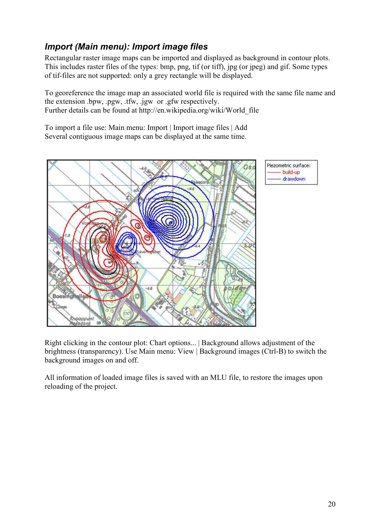# *Import (Main menu): Import image files*

Rectangular raster image maps can be imported and displayed as background in contour plots. This includes raster files of the types: bmp, png, tif (or tiff), jpg (or jpeg) and gif. Some types of tif-files are not supported: only a grey rectangle will be displayed.

To georeference the image map an associated world file is required with the same file name and the extension .bpw, .pgw, .tfw, .jgw or .gfw respectively. Further details can be found at http://en.wikipedia.org/wiki/World\_file

To import a file use: Main menu: Import | Import image files | Add Several contiguous image maps can be displayed at the same time.



Right clicking in the contour plot: Chart options... | Background allows adjustment of the brightness (transparency). Use Main menu: View | Background images (Ctrl-B) to switch the background images on and off.

All information of loaded image files is saved with an MLU file, to restore the images upon reloading of the project.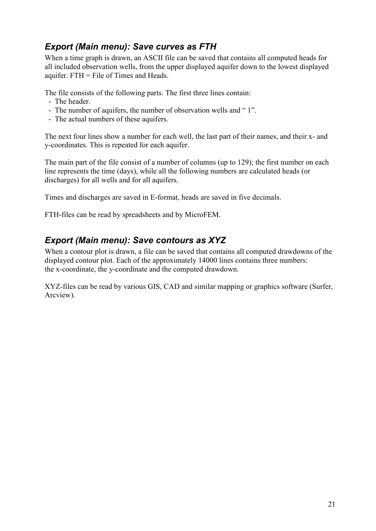## *Export (Main menu): Save curves as FTH*

When a time graph is drawn, an ASCII file can be saved that contains all computed heads for all included observation wells, from the upper displayed aquifer down to the lowest displayed aquifer. FTH = File of Times and Heads.

The file consists of the following parts. The first three lines contain:

- The header.
- The number of aquifers, the number of observation wells and "1".
- The actual numbers of these aquifers.

The next four lines show a number for each well, the last part of their names, and their x- and y-coordinates. This is repeated for each aquifer.

The main part of the file consist of a number of columns (up to 129); the first number on each line represents the time (days), while all the following numbers are calculated heads (or discharges) for all wells and for all aquifers.

Times and discharges are saved in E-format, heads are saved in five decimals.

FTH-files can be read by spreadsheets and by MicroFEM.

## *Export (Main menu): Save contours as XYZ*

When a contour plot is drawn, a file can be saved that contains all computed drawdowns of the displayed contour plot. Each of the approximately 14000 lines contains three numbers: the x-coordinate, the y-coordinate and the computed drawdown.

XYZ-files can be read by various GIS, CAD and similar mapping or graphics software (Surfer, Arcview).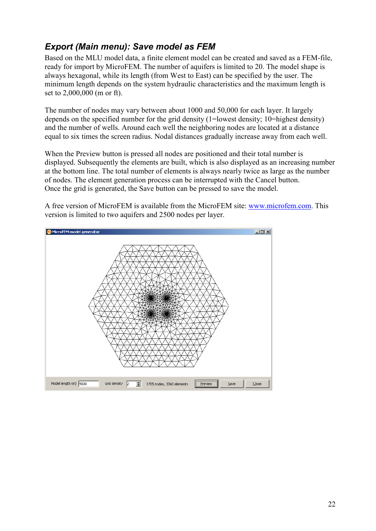# *Export (Main menu): Save model as FEM*

Based on the MLU model data, a finite element model can be created and saved as a FEM-file, ready for import by MicroFEM. The number of aquifers is limited to 20. The model shape is always hexagonal, while its length (from West to East) can be specified by the user. The minimum length depends on the system hydraulic characteristics and the maximum length is set to 2,000,000 (m or ft).

The number of nodes may vary between about 1000 and 50,000 for each layer. It largely depends on the specified number for the grid density (1=lowest density; 10=highest density) and the number of wells. Around each well the neighboring nodes are located at a distance equal to six times the screen radius. Nodal distances gradually increase away from each well.

When the Preview button is pressed all nodes are positioned and their total number is displayed. Subsequently the elements are built, which is also displayed as an increasing number at the bottom line. The total number of elements is always nearly twice as large as the number of nodes. The element generation process can be interrupted with the Cancel button. Once the grid is generated, the Save button can be pressed to save the model.



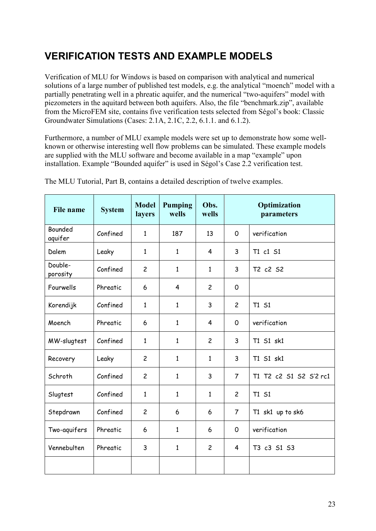# **VERIFICATION TESTS AND EXAMPLE MODELS**

Verification of MLU for Windows is based on comparison with analytical and numerical solutions of a large number of published test models, e.g. the analytical "moench" model with a partially penetrating well in a phreatic aquifer, and the numerical "two-aquifers" model with piezometers in the aquitard between both aquifers. Also, the file "benchmark.zip", available from the MicroFEM site, contains five verification tests selected from Ségol's book: Classic Groundwater Simulations (Cases: 2.1A, 2.1C, 2.2, 6.1.1. and 6.1.2).

Furthermore, a number of MLU example models were set up to demonstrate how some wellknown or otherwise interesting well flow problems can be simulated. These example models are supplied with the MLU software and become available in a map "example" upon installation. Example "Bounded aquifer" is used in Ségol's Case 2.2 verification test.

| <b>File name</b>          | <b>System</b> | <b>Model</b><br>layers | <b>Pumping</b><br>wells | Obs.<br>wells  |                | Optimization<br>parameters |
|---------------------------|---------------|------------------------|-------------------------|----------------|----------------|----------------------------|
| <b>Bounded</b><br>aquifer | Confined      | $\mathbf{1}$           | 187                     | 13             | $\mathsf{O}$   | verification               |
| Dalem                     | Leaky         | $\mathbf{1}$           | $\mathbf{1}$            | $\overline{4}$ | 3              | T1 c1 S1                   |
| Double-<br>porosity       | Confined      | $\overline{c}$         | $\mathbf{1}$            | $\mathbf{1}$   | 3              | T2 c2 S2                   |
| Fourwells                 | Phreatic      | 6                      | $\overline{4}$          | $\overline{c}$ | $\mathsf{O}$   |                            |
| Korendijk                 | Confined      | $\mathbf{1}$           | 1                       | 3              | $\overline{2}$ | T1 S1                      |
| Moench                    | Phreatic      | 6                      | $\mathbf{1}$            | 4              | $\mathsf{O}$   | verification               |
| MW-slugtest               | Confined      | $\mathbf{1}$           | $\mathbf{1}$            | $\overline{c}$ | $\overline{3}$ | T1 S1 sk1                  |
| Recovery                  | Leaky         | $\overline{c}$         | $\mathbf{1}$            | $\mathbf{1}$   | 3              | T1 S1 sk1                  |
| Schroth                   | Confined      | $\overline{c}$         | $\mathbf{1}$            | 3              | $\overline{7}$ | T1 T2 c2 S1 S2 S'2 rc1     |
| Slugtest                  | Confined      | $\mathbf{1}$           | $\mathbf{1}$            | $\mathbf{1}$   | $\overline{2}$ | T1 S1                      |
| Stepdrawn                 | Confined      | $\overline{c}$         | 6                       | 6              | $\overline{7}$ | T1 sk1 up to sk6           |
| Two-aquifers              | Phreatic      | 6                      | $\mathbf{1}$            | 6              | 0              | verification               |
| Vennebulten               | Phreatic      | 3                      | $\mathbf{1}$            | $\overline{c}$ | $\overline{4}$ | T3 c3 S1 S3                |
|                           |               |                        |                         |                |                |                            |

The MLU Tutorial, Part B, contains a detailed description of twelve examples.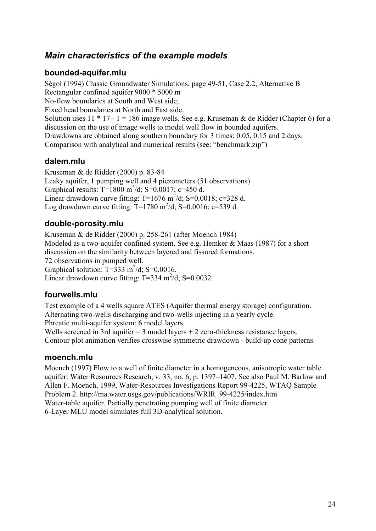## *Main characteristics of the example models*

### **bounded-aquifer.mlu**

Ségol (1994) Classic Groundwater Simulations, page 49-51, Case 2.2, Alternative B Rectangular confined aquifer 9000 \* 5000 m No-flow boundaries at South and West side; Fixed head boundaries at North and East side. Solution uses  $11 * 17 - 1 = 186$  image wells. See e.g. Kruseman & de Ridder (Chapter 6) for a discussion on the use of image wells to model well flow in bounded aquifers. Drawdowns are obtained along southern boundary for 3 times: 0.05, 0.15 and 2 days. Comparison with analytical and numerical results (see: "benchmark.zip")

### **dalem.mlu**

Kruseman & de Ridder (2000) p. 83-84 Leaky aquifer, 1 pumping well and 4 piezometers (51 observations) Graphical results:  $T=1800 \text{ m}^2/\text{d}$ ; S=0.0017; c=450 d. Linear drawdown curve fitting: T=1676 m<sup>2</sup>/d; S=0.0018; c=328 d. Log drawdown curve fitting:  $T=1780 \text{ m}^2/\text{d}$ ; S=0.0016; c=539 d.

### **double-porosity.mlu**

Kruseman & de Ridder (2000) p. 258-261 (after Moench 1984) Modeled as a two-aquifer confined system. See e.g. Hemker & Maas (1987) for a short discussion on the similarity between layered and fissured formations. 72 observations in pumped well. Graphical solution:  $T=333$  m<sup>2</sup>/d; S=0.0016. Linear drawdown curve fitting: T=334 m<sup>2</sup>/d; S=0.0032.

### **fourwells.mlu**

Test example of a 4 wells square ATES (Aquifer thermal energy storage) configuration. Alternating two-wells discharging and two-wells injecting in a yearly cycle. Phreatic multi-aquifer system: 6 model layers.

Wells screened in 3rd aquifer  $= 3$  model layers  $+ 2$  zero-thickness resistance layers. Contour plot animation verifies crosswise symmetric drawdown - build-up cone patterns.

### **moench.mlu**

Moench (1997) Flow to a well of finite diameter in a homogeneous, anisotropic water table aquifer: Water Resources Research, v. 33, no. 6, p. 1397–1407. See also Paul M. Barlow and Allen F. Moench, 1999, Water-Resources Investigations Report 99-4225, WTAQ Sample Problem 2. http://ma.water.usgs.gov/publications/WRIR\_99-4225/index.htm Water-table aquifer. Partially penetrating pumping well of finite diameter. 6-Layer MLU model simulates full 3D-analytical solution.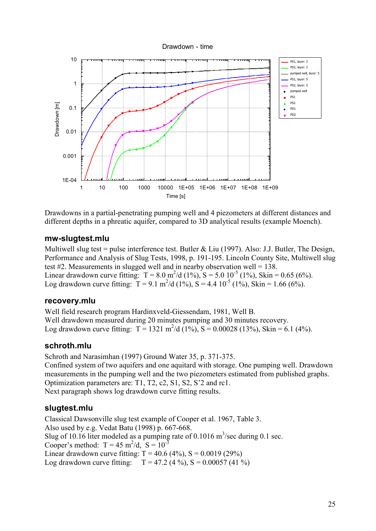

Drawdowns in a partial-penetrating pumping well and 4 piezometers at different distances and different depths in a phreatic aquifer, compared to 3D analytical results (example Moench).

### **mw-slugtest.mlu**

Multiwell slug test = pulse interference test. Butler & Liu (1997). Also: J.J. Butler. The Design, Performance and Analysis of Slug Tests, 1998, p. 191-195. Lincoln County Site, Multiwell slug test #2. Measurements in slugged well and in nearby observation well =  $138$ . Linear drawdown curve fitting:  $T = 8.0 \text{ m}^2/\text{d} (1\%)$ ,  $S = 5.0 \text{ 10}^{-5} (1\%)$ , Skin = 0.65 (6%). Log drawdown curve fitting:  $T = 9.1 \text{ m}^2/\text{d} (1\%)$ ,  $S = 4.4 \text{ 10}^5 (1\%)$ ,  $S \text{kin} = 1.66 (6\%)$ .

### **recovery.mlu**

Well field research program Hardinxveld-Giessendam, 1981, Well B. Well drawdown measured during 20 minutes pumping and 30 minutes recovery. Log drawdown curve fitting:  $T = 1321 \text{ m}^2/\text{d} (1\%)$ ,  $S = 0.00028 (13\%)$ , Skin = 6.1 (4%).

### **schroth.mlu**

Schroth and Narasimhan (1997) Ground Water 35, p. 371-375. Confined system of two aquifers and one aquitard with storage. One pumping well. Drawdown measurements in the pumping well and the two piezometers estimated from published graphs. Optimization parameters are: T1, T2, c2, S1, S2, S'2 and rc1. Next paragraph shows log drawdown curve fitting results.

### **slugtest.mlu**

Classical Dawsonville slug test example of Cooper et al. 1967, Table 3. Also used by e.g. Vedat Batu (1998) p. 667-668. Slug of 10.16 liter modeled as a pumping rate of 0.1016  $\text{m}^3/\text{sec}$  during 0.1 sec. Cooper's method:  $T = 45 \text{ m}^2/\text{d}$ ,  $S = 10^{-3}$ Linear drawdown curve fitting:  $T = 40.6$  (4%),  $S = 0.0019$  (29%) Log drawdown curve fitting:  $T = 47.2 (4\%)$ ,  $S = 0.00057 (41\%)$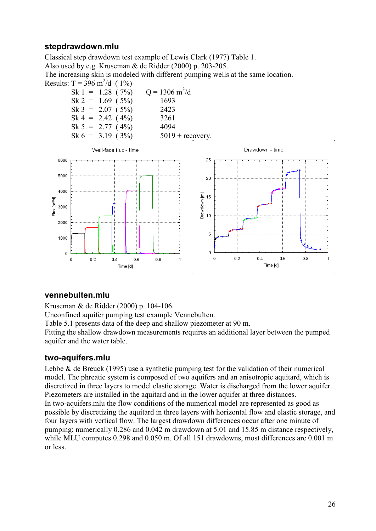### **stepdrawdown.mlu**

Classical step drawdown test example of Lewis Clark (1977) Table 1.

Also used by e.g. Kruseman & de Ridder (2000) p. 203-205.

The increasing skin is modeled with different pumping wells at the same location. Results:  $T = 396 \text{ m}^2/\text{d}$  (1%)





### **vennebulten.mlu**

Kruseman & de Ridder (2000) p. 104-106.

Unconfined aquifer pumping test example Vennebulten.

Table 5.1 presents data of the deep and shallow piezometer at 90 m.

Fitting the shallow drawdown measurements requires an additional layer between the pumped aquifer and the water table.

### **two-aquifers.mlu**

Lebbe  $\&$  de Breuck (1995) use a synthetic pumping test for the validation of their numerical model. The phreatic system is composed of two aquifers and an anisotropic aquitard, which is discretized in three layers to model elastic storage. Water is discharged from the lower aquifer. Piezometers are installed in the aquitard and in the lower aquifer at three distances. In two-aquifers.mlu the flow conditions of the numerical model are represented as good as possible by discretizing the aquitard in three layers with horizontal flow and elastic storage, and four layers with vertical flow. The largest drawdown differences occur after one minute of pumping: numerically 0.286 and 0.042 m drawdown at 5.01 and 15.85 m distance respectively, while MLU computes 0.298 and 0.050 m. Of all 151 drawdowns, most differences are 0.001 m or less.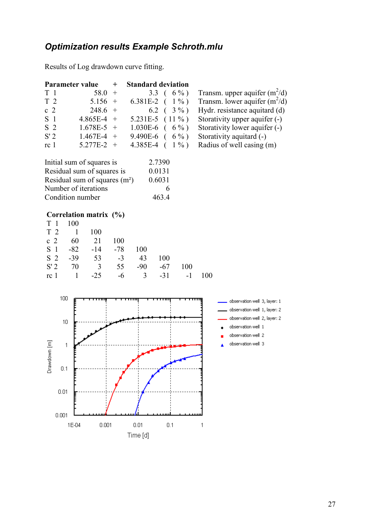# *Optimization results Example Schroth.mlu*

Results of Log drawdown curve fitting.

|                 | <b>Parameter value</b> | $^{+}$ | <b>Standard deviation</b> |                                 |
|-----------------|------------------------|--------|---------------------------|---------------------------------|
| T <sub>1</sub>  | $58.0 +$               |        | 3.3 $(6\%)$               | Transm. upper aquifer $(m^2/d)$ |
| T <sub>2</sub>  | $5.156 +$              |        | 6.381E-2 $(1\%)$          | Transm. lower aquifer $(m^2/d)$ |
| c <sub>2</sub>  | $248.6 +$              |        | 6.2 $(3\%$                | Hydr. resistance aquitard (d)   |
| S <sub>1</sub>  | $4.865E-4 +$           |        | 5.231E-5 $(11\%$          | Storativity upper aquifer (-)   |
| S <sub>2</sub>  | $1.678E-5$ +           |        | $1.030E-6$ ( 6 %)         | Storativity lower aquifer (-)   |
| S'2             | $1.467E-4 +$           |        | 9.490E-6 $(6\%)$          | Storativity aquitard (-)        |
| rc <sub>1</sub> | $5.277E-2 +$           |        | 4.385E-4 $(1\%$           | Radius of well casing (m)       |

| Initial sum of squares is      | 2.7390 |
|--------------------------------|--------|
| Residual sum of squares is     | 0.0131 |
| Residual sum of squares $(m2)$ | 0.6031 |
| Number of iterations           | 6      |
| Condition number               | 463.4  |

## **Correlation matrix (%)**

| T 1 100 |             |                         |            |            |                   |     |     |
|---------|-------------|-------------------------|------------|------------|-------------------|-----|-----|
| $T2$ 1  |             | 100                     |            |            |                   |     |     |
|         | c 2 $60$ 21 |                         | <b>100</b> |            |                   |     |     |
|         |             | $S_1$ $-82$ $-14$ $-78$ |            | <b>100</b> |                   |     |     |
|         |             | $S \t2 \t-39 \t53 \t-3$ |            | 43         | 100               |     |     |
|         |             | $S'2$ 70 3 55 -90 -67   |            |            |                   | 100 |     |
|         |             | $rc1 \t1 \t-25$         |            |            | $-6$ 3 $-31$ $-1$ |     | 100 |

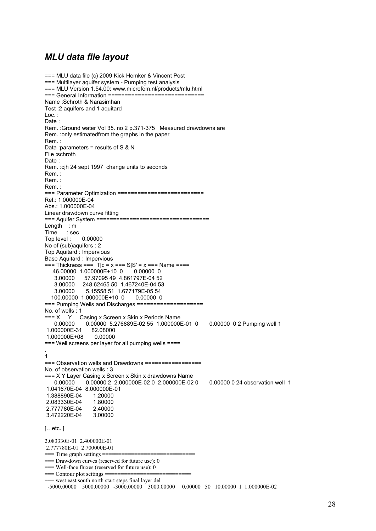### *MLU data file layout*

```
=== MLU data file (c) 2009 Kick Hemker & Vincent Post 
=== Multilayer aquifer system - Pumping test analysis 
=== MLU Version 1.54.00: www.microfem.nl/products/mlu.html 
=== General Information ============================= 
Name :Schroth & Narasimhan 
Test :2 aquifers and 1 aquitard 
Loc. : 
Date : 
Rem. :Ground water Vol 35. no 2 p.371-375 Measured drawdowns are 
Rem. :only estimatedfrom the graphs in the paper 
Rem. : 
Data :parameters = results of S & N 
File :schroth 
Date : 
Rem. :cjh 24 sept 1997 change units to seconds 
Rem. : 
Rem. : 
Rem. : 
=== Parameter Optimization ==========================
Rel.: 1.000000E-04 
Abs.: 1.000000E-04 
Linear drawdown curve fitting 
=== Aquifer System ================================== 
Length : m
Time : sec 
Top level : 0.00000 
No of (sub)aquifers : 2 
Top Aquitard : Impervious 
Base Aquitard : Impervious 
=== Thickness === T|c = x == S|S' = x == = Name ==== 46.00000 1.000000E+10 0 0.00000 0
   46.00000 1.000000E+10 0
    3.00000 57.97095 49 4.861797E-04 52 
    3.00000 248.62465 50 1.467240E-04 53 
                3.00000 5.15558 51 1.677179E-05 54 
   100.00000 1.000000E+10 0 0.00000 0 
=== Pumping Wells and Discharges ==================== 
No. of wells : 1 
=== X Y Casing x Screen x Skin x Periods Name<br>0.00000   0.00000   5.276889E-02   55   1.000000
               0.00000 5.276889E-02 55 1.000000E-01 0  0.00000 0 2 Pumping well 1
 1.000000E-31 82.08000 
1.000000E+08
=== Well screens per layer for all pumping wells ==== 
. 
1 
=== Observation wells and Drawdowns ================= 
No. of observation wells : 3 
=== X Y Layer Casing x Screen x Skin x drawdowns Name 
               0.00000 2 2.000000E-02 0 2.000000E-02 0 0.00000 0 24 observation well 1
 1.041670E-04 8.000000E-01 
 1.388890E-04 1.20000 
 2.083330E-04 1.80000 
 2.777780E-04 2.40000 
3.472220E-04
[...etc.]2.083330E-01 2.400000E-01 
 2.777780E-01 2.700000E-01 
== Time graph settings ==== Drawdown curves (reserved for future use): 0 
== Well-face fluxes (reserved for future use): 0
== Contour plot settings ===== west east south north start steps final layer del
 -5000.00000 5000.00000 -3000.00000 3000.00000 0.00000 50 10.00000 1 1.000000E-02
```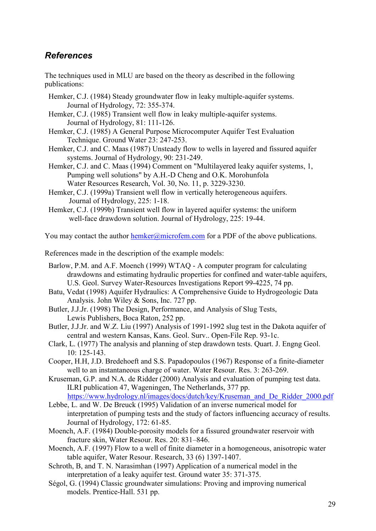## *References*

The techniques used in MLU are based on the theory as described in the following publications:

- Hemker, C.J. (1984) Steady groundwater flow in leaky multiple-aquifer systems. Journal of Hydrology, 72: 355-374.
- Hemker, C.J. (1985) Transient well flow in leaky multiple-aquifer systems. Journal of Hydrology, 81: 111-126.
- Hemker, C.J. (1985) A General Purpose Microcomputer Aquifer Test Evaluation Technique. Ground Water 23: 247-253.
- Hemker, C.J. and C. Maas (1987) Unsteady flow to wells in layered and fissured aquifer systems. Journal of Hydrology, 90: 231-249.
- Hemker, C.J. and C. Maas (1994) Comment on "Multilayered leaky aquifer systems, 1, Pumping well solutions" by A.H.-D Cheng and O.K. Morohunfola Water Resources Research, Vol. 30, No. 11, p. 3229-3230.
- Hemker, C.J. (1999a) Transient well flow in vertically heterogeneous aquifers. Journal of Hydrology, 225: 1-18.
- Hemker, C.J. (1999b) Transient well flow in layered aquifer systems: the uniform well-face drawdown solution. Journal of Hydrology, 225: 19-44.

You may contact the author hemker@microfem.com for a PDF of the above publications.

References made in the description of the example models:

- Barlow, P.M. and A.F. Moench (1999) WTAQ A computer program for calculating drawdowns and estimating hydraulic properties for confined and water-table aquifers, U.S. Geol. Survey Water-Resources Investigations Report 99-4225, 74 pp.
- Batu, Vedat (1998) Aquifer Hydraulics: A Comprehensive Guide to Hydrogeologic Data Analysis. John Wiley & Sons, Inc. 727 pp.
- Butler, J.J.Jr. (1998) The Design, Performance, and Analysis of Slug Tests, Lewis Publishers, Boca Raton, 252 pp.
- Butler, J.J.Jr. and W.Z. Liu (1997) Analysis of 1991-1992 slug test in the Dakota aquifer of central and western Kansas, Kans. Geol. Surv.. Open-File Rep. 93-1c.
- Clark, L. (1977) The analysis and planning of step drawdown tests. Quart. J. Engng Geol. 10: 125-143.
- Cooper, H.H, J.D. Bredehoeft and S.S. Papadopoulos (1967) Response of a finite-diameter well to an instantaneous charge of water. Water Resour. Res. 3: 263-269.
- Kruseman, G.P. and N.A. de Ridder (2000) Analysis and evaluation of pumping test data. ILRI publication 47, Wageningen, The Netherlands, 377 pp.

https://www.hydrology.nl/images/docs/dutch/key/Kruseman\_and\_De\_Ridder\_2000.pdf

- Lebbe, L. and W. De Breuck (1995) Validation of an inverse numerical model for interpretation of pumping tests and the study of factors influencing accuracy of results. Journal of Hydrology, 172: 61-85.
- Moench, A.F. (1984) Double-porosity models for a fissured groundwater reservoir with fracture skin, Water Resour. Res. 20: 831–846.
- Moench, A.F. (1997) Flow to a well of finite diameter in a homogeneous, anisotropic water table aquifer, Water Resour. Research, 33 (6) 1397-1407.
- Schroth, B, and T. N. Narasimhan (1997) Application of a numerical model in the **i**nterpretation of a leaky aquifer test. Ground water 35: 371-375.
- Ségol, G. (1994) Classic groundwater simulations: Proving and improving numerical models. Prentice-Hall. 531 pp.